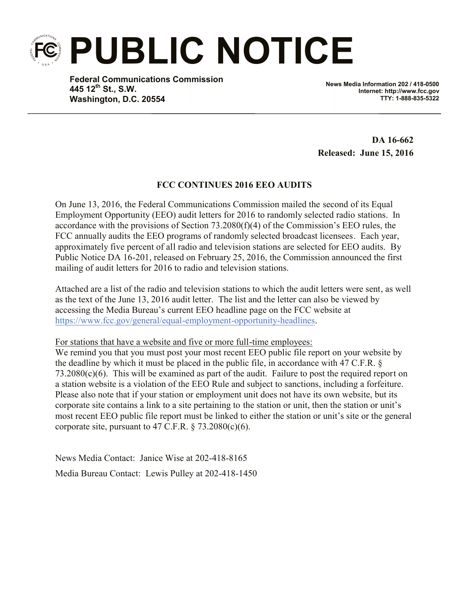

**Federal Communications Commission 445 12th St., S.W. Washington, D.C. 20554**

**News Media Information 202 / 418-0500 Internet: http://www.fcc.gov TTY: 1-888-835-5322**

**DA 16-662 Released: June 15, 2016**

## **FCC CONTINUES 2016 EEO AUDITS**

On June 13, 2016, the Federal Communications Commission mailed the second of its Equal Employment Opportunity (EEO) audit letters for 2016 to randomly selected radio stations. In accordance with the provisions of Section 73.2080(f)(4) of the Commission's EEO rules, the FCC annually audits the EEO programs of randomly selected broadcast licensees. Each year, approximately five percent of all radio and television stations are selected for EEO audits. By Public Notice DA 16-201, released on February 25, 2016, the Commission announced the first mailing of audit letters for 2016 to radio and television stations.

Attached are a list of the radio and television stations to which the audit letters were sent, as well as the text of the June 13, 2016 audit letter. The list and the letter can also be viewed by accessing the Media Bureau's current EEO headline page on the FCC website at https://www.fcc.gov/general/equal-employment-opportunity-headlines.

For stations that have a website and five or more full-time employees:

We remind you that you must post your most recent EEO public file report on your website by the deadline by which it must be placed in the public file, in accordance with 47 C.F.R. § 73.2080(c)(6). This will be examined as part of the audit. Failure to post the required report on a station website is a violation of the EEO Rule and subject to sanctions, including a forfeiture. Please also note that if your station or employment unit does not have its own website, but its corporate site contains a link to a site pertaining to the station or unit, then the station or unit's most recent EEO public file report must be linked to either the station or unit's site or the general corporate site, pursuant to 47 C.F.R.  $\S$  73.2080(c)(6).

News Media Contact: Janice Wise at 202-418-8165 Media Bureau Contact: Lewis Pulley at 202-418-1450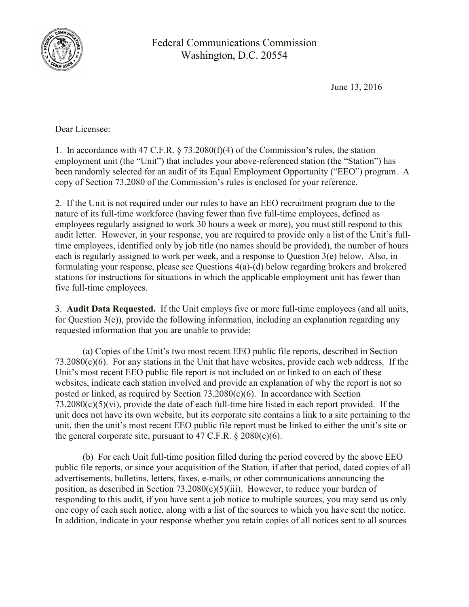

Federal Communications Commission Washington, D.C. 20554

June 13, 2016

Dear Licensee:

1. In accordance with 47 C.F.R. § 73.2080(f)(4) of the Commission's rules, the station employment unit (the "Unit") that includes your above-referenced station (the "Station") has been randomly selected for an audit of its Equal Employment Opportunity ("EEO") program. A copy of Section 73.2080 of the Commission's rules is enclosed for your reference.

2. If the Unit is not required under our rules to have an EEO recruitment program due to the nature of its full-time workforce (having fewer than five full-time employees, defined as employees regularly assigned to work 30 hours a week or more), you must still respond to this audit letter. However, in your response, you are required to provide only a list of the Unit's fulltime employees, identified only by job title (no names should be provided), the number of hours each is regularly assigned to work per week, and a response to Question 3(e) below.Also, in formulating your response, please see Questions 4(a)-(d) below regarding brokers and brokered stations for instructions for situations in which the applicable employment unit has fewer than five full-time employees.

3. **Audit Data Requested.** If the Unit employs five or more full-time employees (and all units, for Question 3(e)), provide the following information, including an explanation regarding any requested information that you are unable to provide:

(a) Copies of the Unit's two most recent EEO public file reports, described in Section 73.2080(c)(6). For any stations in the Unit that have websites, provide each web address. If the Unit's most recent EEO public file report is not included on or linked to on each of these websites, indicate each station involved and provide an explanation of why the report is not so posted or linked, as required by Section  $73.2080(c)(6)$ . In accordance with Section 73.2080(c)(5)(vi), provide the date of each full-time hire listed in each report provided. If the unit does not have its own website, but its corporate site contains a link to a site pertaining to the unit, then the unit's most recent EEO public file report must be linked to either the unit's site or the general corporate site, pursuant to  $47 \text{ C.F.R.}$  §  $2080(c)(6)$ .

(b) For each Unit full-time position filled during the period covered by the above EEO public file reports, or since your acquisition of the Station, if after that period, dated copies of all advertisements, bulletins, letters, faxes, e-mails, or other communications announcing the position, as described in Section  $73.2080(c)(5)(iii)$ . However, to reduce your burden of responding to this audit, if you have sent a job notice to multiple sources, you may send us only one copy of each such notice, along with a list of the sources to which you have sent the notice. In addition, indicate in your response whether you retain copies of all notices sent to all sources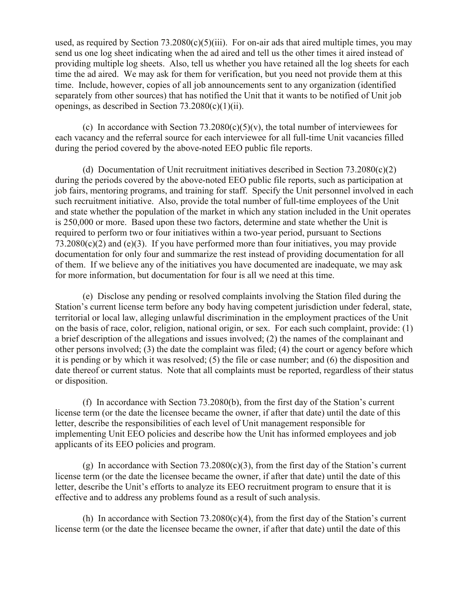used, as required by Section  $73.2080(c)(5)(iii)$ . For on-air ads that aired multiple times, you may send us one log sheet indicating when the ad aired and tell us the other times it aired instead of providing multiple log sheets. Also, tell us whether you have retained all the log sheets for each time the ad aired. We may ask for them for verification, but you need not provide them at this time. Include, however, copies of all job announcements sent to any organization (identified separately from other sources) that has notified the Unit that it wants to be notified of Unit job openings, as described in Section 73.2080(c)(1)(ii).

(c) In accordance with Section  $73.2080(c)(5)(v)$ , the total number of interviewees for each vacancy and the referral source for each interviewee for all full-time Unit vacancies filled during the period covered by the above-noted EEO public file reports.

(d) Documentation of Unit recruitment initiatives described in Section 73.2080(c)(2) during the periods covered by the above-noted EEO public file reports, such as participation at job fairs, mentoring programs, and training for staff. Specify the Unit personnel involved in each such recruitment initiative. Also, provide the total number of full-time employees of the Unit and state whether the population of the market in which any station included in the Unit operates is 250,000 or more. Based upon these two factors, determine and state whether the Unit is required to perform two or four initiatives within a two-year period, pursuant to Sections  $73.2080(c)(2)$  and (e)(3). If you have performed more than four initiatives, you may provide documentation for only four and summarize the rest instead of providing documentation for all of them. If we believe any of the initiatives you have documented are inadequate, we may ask for more information, but documentation for four is all we need at this time.

(e) Disclose any pending or resolved complaints involving the Station filed during the Station's current license term before any body having competent jurisdiction under federal, state, territorial or local law, alleging unlawful discrimination in the employment practices of the Unit on the basis of race, color, religion, national origin, or sex. For each such complaint, provide: (1) a brief description of the allegations and issues involved; (2) the names of the complainant and other persons involved; (3) the date the complaint was filed; (4) the court or agency before which it is pending or by which it was resolved; (5) the file or case number; and (6) the disposition and date thereof or current status. Note that all complaints must be reported, regardless of their status or disposition.

(f) In accordance with Section 73.2080(b), from the first day of the Station's current license term (or the date the licensee became the owner, if after that date) until the date of this letter, describe the responsibilities of each level of Unit management responsible for implementing Unit EEO policies and describe how the Unit has informed employees and job applicants of its EEO policies and program.

(g) In accordance with Section 73.2080(c)(3), from the first day of the Station's current license term (or the date the licensee became the owner, if after that date) until the date of this letter, describe the Unit's efforts to analyze its EEO recruitment program to ensure that it is effective and to address any problems found as a result of such analysis.

(h) In accordance with Section  $73.2080(c)(4)$ , from the first day of the Station's current license term (or the date the licensee became the owner, if after that date) until the date of this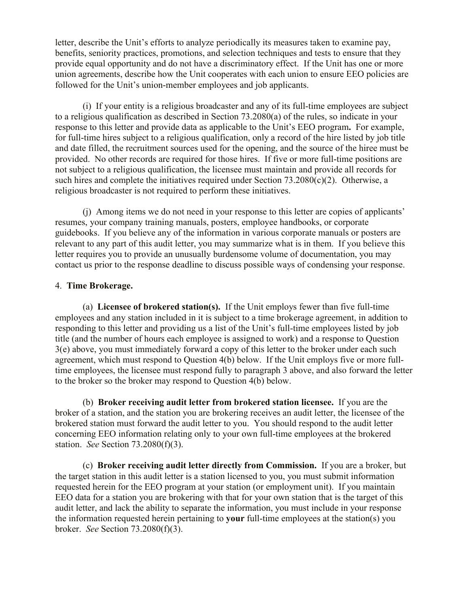letter, describe the Unit's efforts to analyze periodically its measures taken to examine pay, benefits, seniority practices, promotions, and selection techniques and tests to ensure that they provide equal opportunity and do not have a discriminatory effect. If the Unit has one or more union agreements, describe how the Unit cooperates with each union to ensure EEO policies are followed for the Unit's union-member employees and job applicants.

(i) If your entity is a religious broadcaster and any of its full-time employees are subject to a religious qualification as described in Section 73.2080(a) of the rules, so indicate in your response to this letter and provide data as applicable to the Unit's EEO program**.** For example, for full-time hires subject to a religious qualification, only a record of the hire listed by job title and date filled, the recruitment sources used for the opening, and the source of the hiree must be provided. No other records are required for those hires. If five or more full-time positions are not subject to a religious qualification, the licensee must maintain and provide all records for such hires and complete the initiatives required under Section 73.2080(c)(2). Otherwise, a religious broadcaster is not required to perform these initiatives.

(j) Among items we do not need in your response to this letter are copies of applicants' resumes, your company training manuals, posters, employee handbooks, or corporate guidebooks. If you believe any of the information in various corporate manuals or posters are relevant to any part of this audit letter, you may summarize what is in them. If you believe this letter requires you to provide an unusually burdensome volume of documentation, you may contact us prior to the response deadline to discuss possible ways of condensing your response.

## 4. **Time Brokerage.**

(a) **Licensee of brokered station(s).** If the Unit employs fewer than five full-time employees and any station included in it is subject to a time brokerage agreement, in addition to responding to this letter and providing us a list of the Unit's full-time employees listed by job title (and the number of hours each employee is assigned to work) and a response to Question 3(e) above, you must immediately forward a copy of this letter to the broker under each such agreement, which must respond to Question 4(b) below. If the Unit employs five or more fulltime employees, the licensee must respond fully to paragraph 3 above, and also forward the letter to the broker so the broker may respond to Question 4(b) below.

(b) **Broker receiving audit letter from brokered station licensee.** If you are the broker of a station, and the station you are brokering receives an audit letter, the licensee of the brokered station must forward the audit letter to you. You should respond to the audit letter concerning EEO information relating only to your own full-time employees at the brokered station. *See* Section 73.2080(f)(3).

(c) **Broker receiving audit letter directly from Commission.** If you are a broker, but the target station in this audit letter is a station licensed to you, you must submit information requested herein for the EEO program at your station (or employment unit). If you maintain EEO data for a station you are brokering with that for your own station that is the target of this audit letter, and lack the ability to separate the information, you must include in your response the information requested herein pertaining to **your** full-time employees at the station(s) you broker. *See* Section 73.2080(f)(3).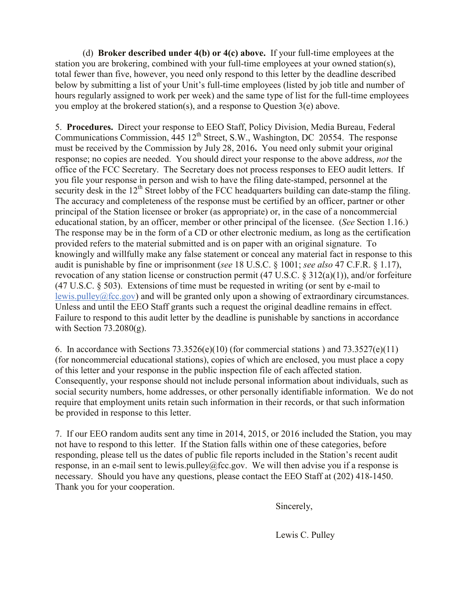(d) **Broker described under 4(b) or 4(c) above.** If your full-time employees at the station you are brokering, combined with your full-time employees at your owned station(s), total fewer than five, however, you need only respond to this letter by the deadline described below by submitting a list of your Unit's full-time employees (listed by job title and number of hours regularly assigned to work per week) and the same type of list for the full-time employees you employ at the brokered station(s), and a response to Question 3(e) above.

5. **Procedures.** Direct your response to EEO Staff, Policy Division, Media Bureau, Federal Communications Commission, 445 12<sup>th</sup> Street, S.W., Washington, DC 20554. The response must be received by the Commission by July 28, 2016**.** You need only submit your original response; no copies are needed. You should direct your response to the above address, *not* the office of the FCC Secretary. The Secretary does not process responses to EEO audit letters. If you file your response in person and wish to have the filing date-stamped, personnel at the security desk in the  $12<sup>th</sup>$  Street lobby of the FCC headquarters building can date-stamp the filing. The accuracy and completeness of the response must be certified by an officer, partner or other principal of the Station licensee or broker (as appropriate) or, in the case of a noncommercial educational station, by an officer, member or other principal of the licensee. (*See* Section 1.16.) The response may be in the form of a CD or other electronic medium, as long as the certification provided refers to the material submitted and is on paper with an original signature. To knowingly and willfully make any false statement or conceal any material fact in response to this audit is punishable by fine or imprisonment (*see* 18 U.S.C. § 1001; *see also* 47 C.F.R. § 1.17), revocation of any station license or construction permit (47 U.S.C. § 312(a)(1)), and/or forfeiture (47 U.S.C. § 503). Extensions of time must be requested in writing (or sent by e-mail to lewis.pulley@fcc.gov) and will be granted only upon a showing of extraordinary circumstances. Unless and until the EEO Staff grants such a request the original deadline remains in effect. Failure to respond to this audit letter by the deadline is punishable by sanctions in accordance with Section  $73.2080(g)$ .

6. In accordance with Sections  $73.3526(e)(10)$  (for commercial stations) and  $73.3527(e)(11)$ (for noncommercial educational stations), copies of which are enclosed, you must place a copy of this letter and your response in the public inspection file of each affected station. Consequently, your response should not include personal information about individuals, such as social security numbers, home addresses, or other personally identifiable information. We do not require that employment units retain such information in their records, or that such information be provided in response to this letter.

7. If our EEO random audits sent any time in 2014, 2015, or 2016 included the Station, you may not have to respond to this letter. If the Station falls within one of these categories, before responding, please tell us the dates of public file reports included in the Station's recent audit response, in an e-mail sent to lewis.pulley@fcc.gov. We will then advise you if a response is necessary. Should you have any questions, please contact the EEO Staff at (202) 418-1450. Thank you for your cooperation.

Sincerely,

Lewis C. Pulley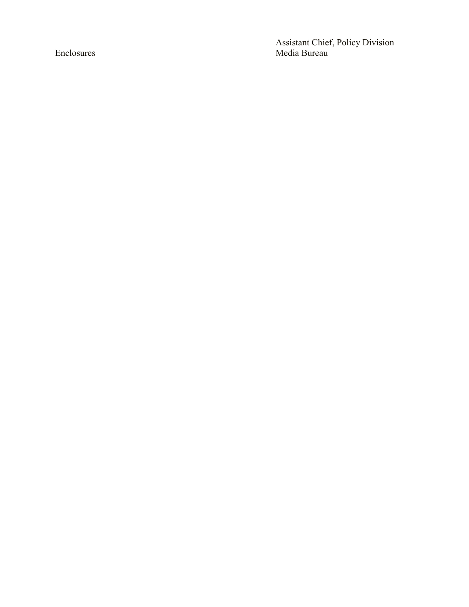Assistant Chief, Policy Division Enclosures Media Bureau